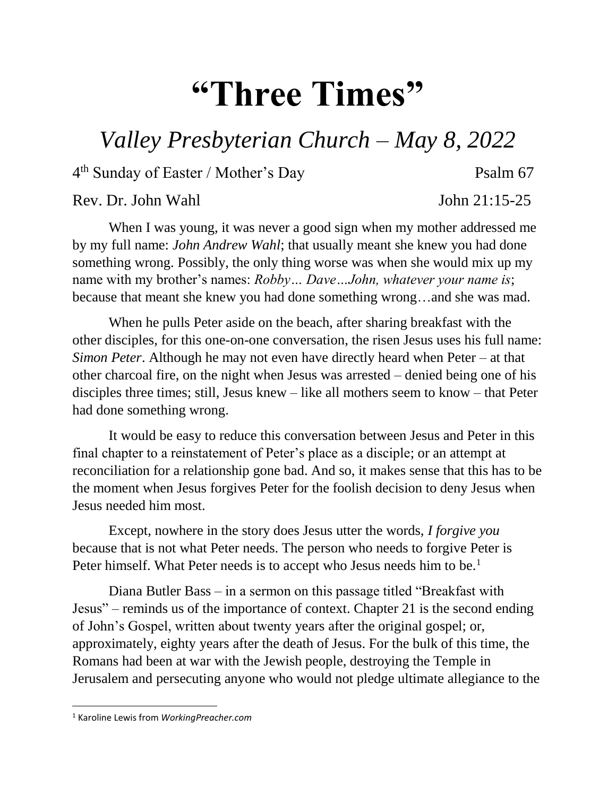## **"Three Times"**

## *Valley Presbyterian Church – May 8, 2022*

4 th Sunday of Easter / Mother's Day Psalm 67

Rev. Dr. John Wahl  $\sim$  John 21:15-25

When I was young, it was never a good sign when my mother addressed me by my full name: *John Andrew Wahl*; that usually meant she knew you had done something wrong. Possibly, the only thing worse was when she would mix up my name with my brother's names: *Robby… Dave…John, whatever your name is*; because that meant she knew you had done something wrong…and she was mad.

When he pulls Peter aside on the beach, after sharing breakfast with the other disciples, for this one-on-one conversation, the risen Jesus uses his full name: *Simon Peter*. Although he may not even have directly heard when Peter – at that other charcoal fire, on the night when Jesus was arrested – denied being one of his disciples three times; still, Jesus knew – like all mothers seem to know – that Peter had done something wrong.

It would be easy to reduce this conversation between Jesus and Peter in this final chapter to a reinstatement of Peter's place as a disciple; or an attempt at reconciliation for a relationship gone bad. And so, it makes sense that this has to be the moment when Jesus forgives Peter for the foolish decision to deny Jesus when Jesus needed him most.

Except, nowhere in the story does Jesus utter the words, *I forgive you* because that is not what Peter needs. The person who needs to forgive Peter is Peter himself. What Peter needs is to accept who Jesus needs him to be.<sup>1</sup>

Diana Butler Bass – in a sermon on this passage titled "Breakfast with Jesus" – reminds us of the importance of context. Chapter 21 is the second ending of John's Gospel, written about twenty years after the original gospel; or, approximately, eighty years after the death of Jesus. For the bulk of this time, the Romans had been at war with the Jewish people, destroying the Temple in Jerusalem and persecuting anyone who would not pledge ultimate allegiance to the

 $\overline{\phantom{a}}$ 

<sup>1</sup> Karoline Lewis from *WorkingPreacher.com*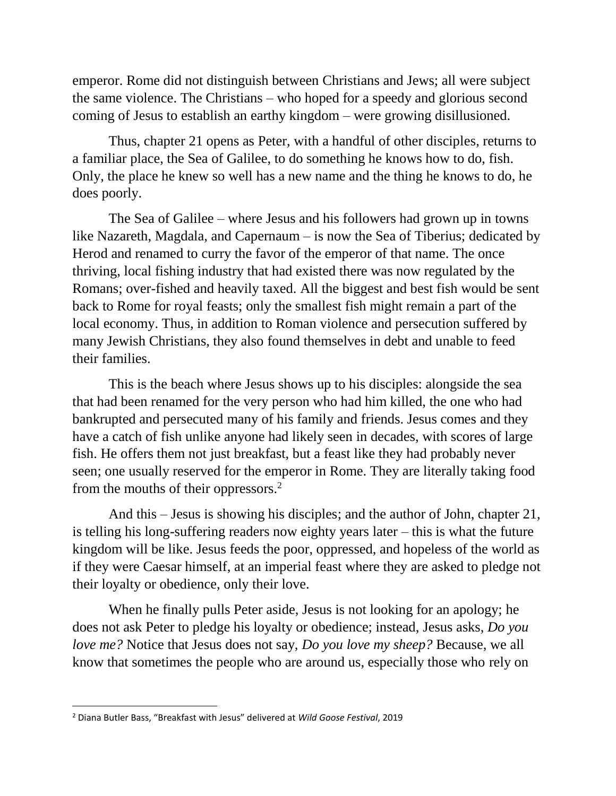emperor. Rome did not distinguish between Christians and Jews; all were subject the same violence. The Christians – who hoped for a speedy and glorious second coming of Jesus to establish an earthy kingdom – were growing disillusioned.

Thus, chapter 21 opens as Peter, with a handful of other disciples, returns to a familiar place, the Sea of Galilee, to do something he knows how to do, fish. Only, the place he knew so well has a new name and the thing he knows to do, he does poorly.

The Sea of Galilee – where Jesus and his followers had grown up in towns like Nazareth, Magdala, and Capernaum – is now the Sea of Tiberius; dedicated by Herod and renamed to curry the favor of the emperor of that name. The once thriving, local fishing industry that had existed there was now regulated by the Romans; over-fished and heavily taxed. All the biggest and best fish would be sent back to Rome for royal feasts; only the smallest fish might remain a part of the local economy. Thus, in addition to Roman violence and persecution suffered by many Jewish Christians, they also found themselves in debt and unable to feed their families.

This is the beach where Jesus shows up to his disciples: alongside the sea that had been renamed for the very person who had him killed, the one who had bankrupted and persecuted many of his family and friends. Jesus comes and they have a catch of fish unlike anyone had likely seen in decades, with scores of large fish. He offers them not just breakfast, but a feast like they had probably never seen; one usually reserved for the emperor in Rome. They are literally taking food from the mouths of their oppressors.<sup>2</sup>

And this – Jesus is showing his disciples; and the author of John, chapter 21, is telling his long-suffering readers now eighty years later – this is what the future kingdom will be like. Jesus feeds the poor, oppressed, and hopeless of the world as if they were Caesar himself, at an imperial feast where they are asked to pledge not their loyalty or obedience, only their love.

When he finally pulls Peter aside, Jesus is not looking for an apology; he does not ask Peter to pledge his loyalty or obedience; instead, Jesus asks, *Do you love me?* Notice that Jesus does not say, *Do you love my sheep?* Because, we all know that sometimes the people who are around us, especially those who rely on

 $\overline{\phantom{a}}$ 

<sup>2</sup> Diana Butler Bass, "Breakfast with Jesus" delivered at *Wild Goose Festival*, 2019